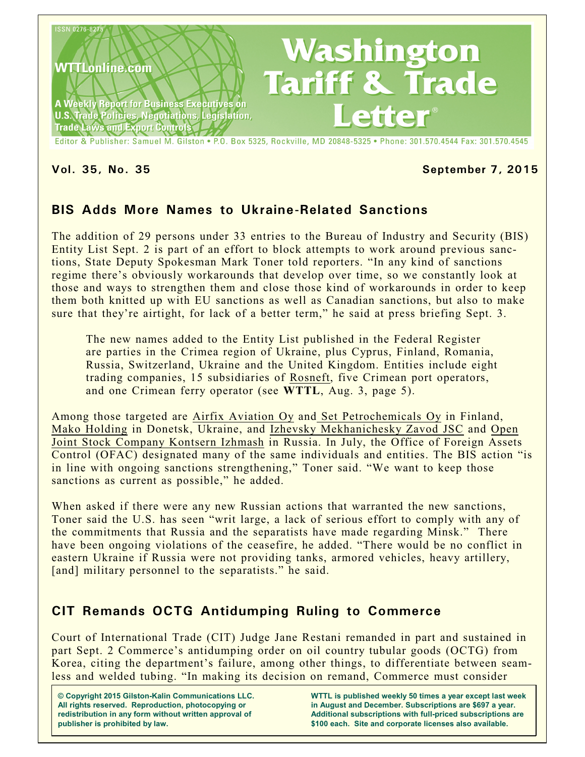

### **Vol. 35, No. 35 September 7, 2015**

## **BIS Adds More Names to Ukraine-Related Sanctions**

The addition of 29 persons under 33 entries to the Bureau of Industry and Security (BIS) Entity List Sept. 2 is part of an effort to block attempts to work around previous sanctions, State Deputy Spokesman Mark Toner told reporters. "In any kind of sanctions regime there's obviously workarounds that develop over time, so we constantly look at those and ways to strengthen them and close those kind of workarounds in order to keep them both knitted up with EU sanctions as well as Canadian sanctions, but also to make sure that they're airtight, for lack of a better term," he said at press briefing Sept. 3.

The new names added to the Entity List published in the Federal Register are parties in the Crimea region of Ukraine, plus Cyprus, Finland, Romania, Russia, Switzerland, Ukraine and the United Kingdom. Entities include eight trading companies, 15 subsidiaries of Rosneft, five Crimean port operators, and one Crimean ferry operator (see **WTTL**, Aug. 3, page 5).

Among those targeted are Airfix Aviation Oy and Set Petrochemicals Oy in Finland, Mako Holding in Donetsk, Ukraine, and Izhevsky Mekhanichesky Zavod JSC and Open Joint Stock Company Kontsern Izhmash in Russia. In July, the Office of Foreign Assets Control (OFAC) designated many of the same individuals and entities. The BIS action "is in line with ongoing sanctions strengthening," Toner said. "We want to keep those sanctions as current as possible," he added.

When asked if there were any new Russian actions that warranted the new sanctions, Toner said the U.S. has seen "writ large, a lack of serious effort to comply with any of the commitments that Russia and the separatists have made regarding Minsk." There have been ongoing violations of the ceasefire, he added. "There would be no conflict in eastern Ukraine if Russia were not providing tanks, armored vehicles, heavy artillery, [and] military personnel to the separatists." he said.

# **CIT Remands OCTG Antidumping Ruling to Commerce**

Court of International Trade (CIT) Judge Jane Restani remanded in part and sustained in part Sept. 2 Commerce's antidumping order on oil country tubular goods (OCTG) from Korea, citing the department's failure, among other things, to differentiate between seamless and welded tubing. "In making its decision on remand, Commerce must consider

**© Copyright 2015 Gilston-Kalin Communications LLC. All rights reserved. Reproduction, photocopying or redistribution in any form without written approval of publisher is prohibited by law.** 

**WTTL is published weekly 50 times a year except last week in August and December. Subscriptions are \$697 a year. Additional subscriptions with full-priced subscriptions are \$100 each. Site and corporate licenses also available.**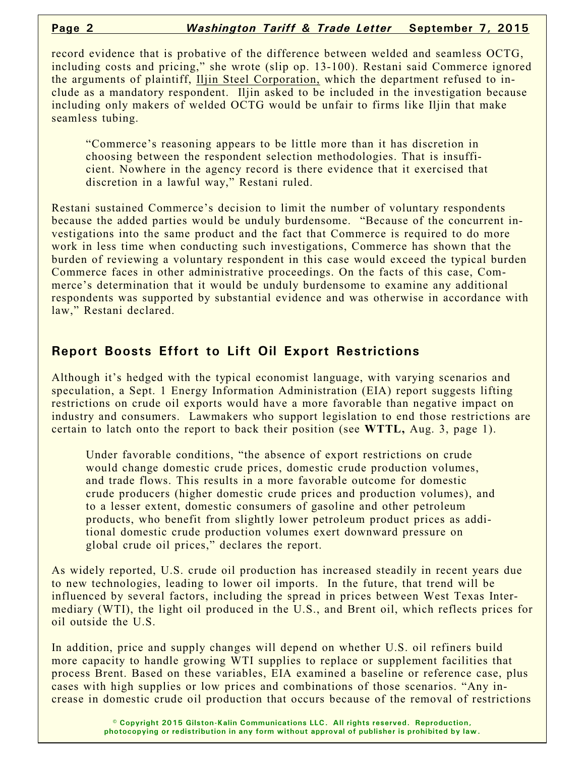record evidence that is probative of the difference between welded and seamless OCTG, including costs and pricing," she wrote (slip op. 13-100). Restani said Commerce ignored the arguments of plaintiff, Iljin Steel Corporation, which the department refused to include as a mandatory respondent. Iljin asked to be included in the investigation because including only makers of welded OCTG would be unfair to firms like Iljin that make seamless tubing.

"Commerce's reasoning appears to be little more than it has discretion in choosing between the respondent selection methodologies. That is insufficient. Nowhere in the agency record is there evidence that it exercised that discretion in a lawful way," Restani ruled.

Restani sustained Commerce's decision to limit the number of voluntary respondents because the added parties would be unduly burdensome. "Because of the concurrent investigations into the same product and the fact that Commerce is required to do more work in less time when conducting such investigations, Commerce has shown that the burden of reviewing a voluntary respondent in this case would exceed the typical burden Commerce faces in other administrative proceedings. On the facts of this case, Commerce's determination that it would be unduly burdensome to examine any additional respondents was supported by substantial evidence and was otherwise in accordance with law," Restani declared.

## **Report Boosts Effort to Lift Oil Export Restrictions**

Although it's hedged with the typical economist language, with varying scenarios and speculation, a Sept. 1 Energy Information Administration (EIA) report suggests lifting restrictions on crude oil exports would have a more favorable than negative impact on industry and consumers. Lawmakers who support legislation to end those restrictions are certain to latch onto the report to back their position (see **WTTL,** Aug. 3, page 1).

Under favorable conditions, "the absence of export restrictions on crude would change domestic crude prices, domestic crude production volumes, and trade flows. This results in a more favorable outcome for domestic crude producers (higher domestic crude prices and production volumes), and to a lesser extent, domestic consumers of gasoline and other petroleum products, who benefit from slightly lower petroleum product prices as additional domestic crude production volumes exert downward pressure on global crude oil prices," declares the report.

As widely reported, U.S. crude oil production has increased steadily in recent years due to new technologies, leading to lower oil imports. In the future, that trend will be influenced by several factors, including the spread in prices between West Texas Intermediary (WTI), the light oil produced in the U.S., and Brent oil, which reflects prices for oil outside the U.S.

In addition, price and supply changes will depend on whether U.S. oil refiners build more capacity to handle growing WTI supplies to replace or supplement facilities that process Brent. Based on these variables, EIA examined a baseline or reference case, plus cases with high supplies or low prices and combinations of those scenarios. "Any increase in domestic crude oil production that occurs because of the removal of restrictions

> **© Copyright 2015 Gilston-Kalin Communications LLC. All rights reserved. Reproduction, photocopying or redistribution in any form without approval of publisher is prohibited by law.**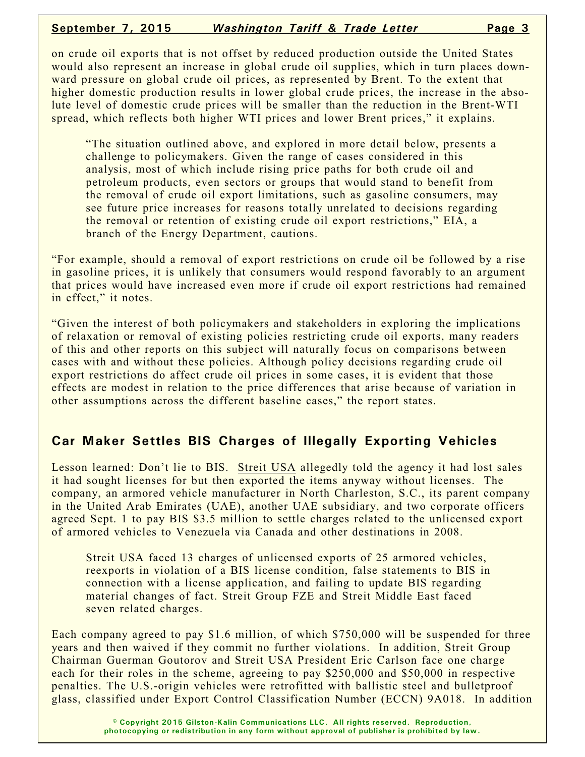#### **September 7, 2015** *Washington Tariff & Trade Letter* **Page 3**

on crude oil exports that is not offset by reduced production outside the United States would also represent an increase in global crude oil supplies, which in turn places downward pressure on global crude oil prices, as represented by Brent. To the extent that higher domestic production results in lower global crude prices, the increase in the absolute level of domestic crude prices will be smaller than the reduction in the Brent-WTI spread, which reflects both higher WTI prices and lower Brent prices," it explains.

"The situation outlined above, and explored in more detail below, presents a challenge to policymakers. Given the range of cases considered in this analysis, most of which include rising price paths for both crude oil and petroleum products, even sectors or groups that would stand to benefit from the removal of crude oil export limitations, such as gasoline consumers, may see future price increases for reasons totally unrelated to decisions regarding the removal or retention of existing crude oil export restrictions," EIA, a branch of the Energy Department, cautions.

"For example, should a removal of export restrictions on crude oil be followed by a rise in gasoline prices, it is unlikely that consumers would respond favorably to an argument that prices would have increased even more if crude oil export restrictions had remained in effect," it notes.

"Given the interest of both policymakers and stakeholders in exploring the implications of relaxation or removal of existing policies restricting crude oil exports, many readers of this and other reports on this subject will naturally focus on comparisons between cases with and without these policies. Although policy decisions regarding crude oil export restrictions do affect crude oil prices in some cases, it is evident that those effects are modest in relation to the price differences that arise because of variation in other assumptions across the different baseline cases," the report states.

# **Car Maker Settles BIS Charges of Illegally Exporting Vehicles**

Lesson learned: Don't lie to BIS. Streit USA allegedly told the agency it had lost sales it had sought licenses for but then exported the items anyway without licenses. The company, an armored vehicle manufacturer in North Charleston, S.C., its parent company in the United Arab Emirates (UAE), another UAE subsidiary, and two corporate officers agreed Sept. 1 to pay BIS \$3.5 million to settle charges related to the unlicensed export of armored vehicles to Venezuela via Canada and other destinations in 2008.

Streit USA faced 13 charges of unlicensed exports of 25 armored vehicles, reexports in violation of a BIS license condition, false statements to BIS in connection with a license application, and failing to update BIS regarding material changes of fact. Streit Group FZE and Streit Middle East faced seven related charges.

Each company agreed to pay \$1.6 million, of which \$750,000 will be suspended for three years and then waived if they commit no further violations. In addition, Streit Group Chairman Guerman Goutorov and Streit USA President Eric Carlson face one charge each for their roles in the scheme, agreeing to pay \$250,000 and \$50,000 in respective penalties. The U.S.-origin vehicles were retrofitted with ballistic steel and bulletproof glass, classified under Export Control Classification Number (ECCN) 9A018. In addition

> **© Copyright 2015 Gilston-Kalin Communications LLC. All rights reserved. Reproduction, photocopying or redistribution in any form without approval of publisher is prohibited by law.**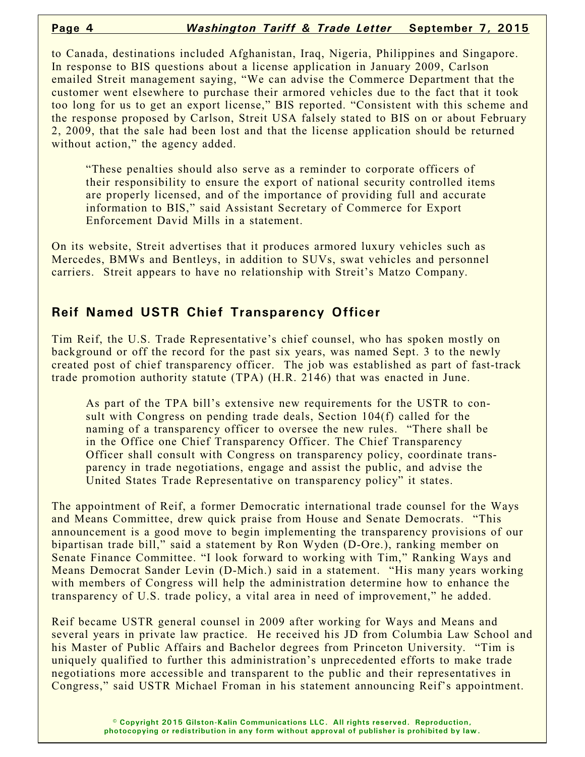to Canada, destinations included Afghanistan, Iraq, Nigeria, Philippines and Singapore. In response to BIS questions about a license application in January 2009, Carlson emailed Streit management saying, "We can advise the Commerce Department that the customer went elsewhere to purchase their armored vehicles due to the fact that it took too long for us to get an export license," BIS reported. "Consistent with this scheme and the response proposed by Carlson, Streit USA falsely stated to BIS on or about February 2, 2009, that the sale had been lost and that the license application should be returned without action," the agency added.

"These penalties should also serve as a reminder to corporate officers of their responsibility to ensure the export of national security controlled items are properly licensed, and of the importance of providing full and accurate information to BIS," said Assistant Secretary of Commerce for Export Enforcement David Mills in a statement.

On its website, Streit advertises that it produces armored luxury vehicles such as Mercedes, BMWs and Bentleys, in addition to SUVs, swat vehicles and personnel carriers. Streit appears to have no relationship with Streit's Matzo Company.

## **Reif Named USTR Chief Transparency Officer**

Tim Reif, the U.S. Trade Representative's chief counsel, who has spoken mostly on background or off the record for the past six years, was named Sept. 3 to the newly created post of chief transparency officer. The job was established as part of fast-track trade promotion authority statute (TPA) (H.R. 2146) that was enacted in June.

As part of the TPA bill's extensive new requirements for the USTR to consult with Congress on pending trade deals, Section 104(f) called for the naming of a transparency officer to oversee the new rules. "There shall be in the Office one Chief Transparency Officer. The Chief Transparency Officer shall consult with Congress on transparency policy, coordinate transparency in trade negotiations, engage and assist the public, and advise the United States Trade Representative on transparency policy" it states.

The appointment of Reif, a former Democratic international trade counsel for the Ways and Means Committee, drew quick praise from House and Senate Democrats. "This announcement is a good move to begin implementing the transparency provisions of our bipartisan trade bill," said a statement by Ron Wyden (D-Ore.), ranking member on Senate Finance Committee. "I look forward to working with Tim," Ranking Ways and Means Democrat Sander Levin (D-Mich.) said in a statement. "His many years working with members of Congress will help the administration determine how to enhance the transparency of U.S. trade policy, a vital area in need of improvement," he added.

Reif became USTR general counsel in 2009 after working for Ways and Means and several years in private law practice. He received his JD from Columbia Law School and his Master of Public Affairs and Bachelor degrees from Princeton University. "Tim is uniquely qualified to further this administration's unprecedented efforts to make trade negotiations more accessible and transparent to the public and their representatives in Congress," said USTR Michael Froman in his statement announcing Reif's appointment.